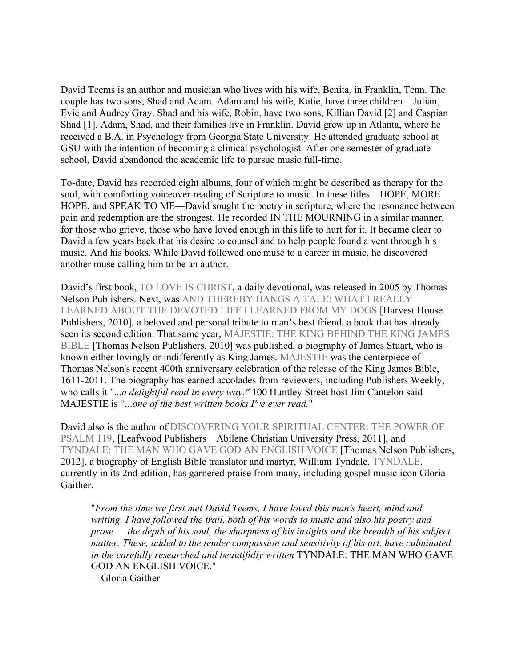David Teems is an author and musician who lives with his wife, Benita, in Franklin, Tenn. The couple has two sons, Shad and Adam. Adam and his wife, Katie, have three children—Julian, Evie and Audrey Gray. Shad and his wife, Robin, have two sons, Killian David [2] and Caspian Shad [1]. Adam, Shad, and their families live in Franklin. David grew up in Atlanta, where he received a B.A. in Psychology from Georgia State University. He attended graduate school at GSU with the intention of becoming a clinical psychologist. After one semester of graduate school, David abandoned the academic life to pursue music full-time.

To-date, David has recorded eight albums, four of which might be described as therapy for the soul, with comforting voiceover reading of Scripture to music. In these titles—HOPE, MORE HOPE, and SPEAK TO ME—David sought the poetry in scripture, where the resonance between pain and redemption are the strongest. He recorded IN THE MOURNING in a similar manner, for those who grieve, those who have loved enough in this life to hurt for it. It became clear to David a few years back that his desire to counsel and to help people found a vent through his music. And his books. While David followed one muse to a career in music, he discovered another muse calling him to be an author.

David's first book, TO LOVE IS CHRIST, a daily devotional, was released in 2005 by Thomas Nelson Publishers. Next, was AND THEREBY HANGS A TALE: WHAT I REALLY LEARNED ABOUT THE DEVOTED LIFE I LEARNED FROM MY DOGS [Harvest House Publishers, 2010], a beloved and personal tribute to man's best friend, a book that has already seen its second edition. That same year, MAJESTIE: THE KING BEHIND THE KING JAMES BIBLE [Thomas Nelson Publishers, 2010] was published, a biography of James Stuart, who is known either lovingly or indifferently as King James. MAJESTIE was the centerpiece of Thomas Nelson's recent 400th anniversary celebration of the release of the King James Bible, 1611-2011. The biography has earned accolades from reviewers, including Publishers Weekly, who calls it "...*a delightful read in every way."* 100 Huntley Street host Jim Cantelon said MAJESTIE is "...*one of the best written books I've ever read.*"

David also is the author of DISCOVERING YOUR SPIRITUAL CENTER: THE POWER OF PSALM 119, [Leafwood Publishers—Abilene Christian University Press, 2011], and TYNDALE: THE MAN WHO GAVE GOD AN ENGLISH VOICE [Thomas Nelson Publishers, 2012], a biography of English Bible translator and martyr, William Tyndale. TYNDALE, currently in its 2nd edition, has garnered praise from many, including gospel music icon Gloria Gaither.

"*From the time we first met David Teems, I have loved this man's heart, mind and writing. I have followed the trail, both of his words to music and also his poetry and prose — the depth of his soul, the sharpness of his insights and the breadth of his subject matter. These, added to the tender compassion and sensitivity of his art, have culminated in the carefully researched and beautifully written* TYNDALE: THE MAN WHO GAVE GOD AN ENGLISH VOICE."

—Gloria Gaither